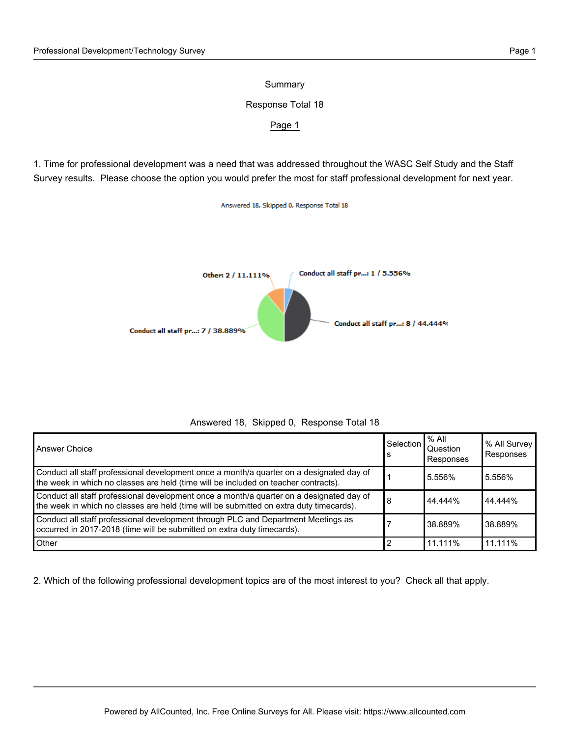## Summary

## Response Total 18

## Page 1

1. Time for professional development was a need that was addressed throughout the WASC Self Study and the Staff Survey results. Please choose the option you would prefer the most for staff professional development for next year.

Answered 18, Skipped 0, Response Total 18



| Answered 18, Skipped 0, Response Total 18 |  |  |  |
|-------------------------------------------|--|--|--|
|-------------------------------------------|--|--|--|

| Answer Choice                                                                                                                                                                       | Selection<br>۱S | $%$ All<br><b>Question</b><br>Responses | % All Survey<br>Responses |
|-------------------------------------------------------------------------------------------------------------------------------------------------------------------------------------|-----------------|-----------------------------------------|---------------------------|
| Conduct all staff professional development once a month/a quarter on a designated day of<br>the week in which no classes are held (time will be included on teacher contracts).     |                 | 5.556%                                  | 5.556%                    |
| Conduct all staff professional development once a month/a quarter on a designated day of<br>the week in which no classes are held (time will be submitted on extra duty timecards). | 8               | 44.444%                                 | 44.444%                   |
| Conduct all staff professional development through PLC and Department Meetings as<br>occurred in 2017-2018 (time will be submitted on extra duty timecards).                        |                 | 38.889%                                 | l 38.889%                 |
| <b>Other</b>                                                                                                                                                                        | 2               | 11.111%                                 | 11.111%                   |

2. Which of the following professional development topics are of the most interest to you? Check all that apply.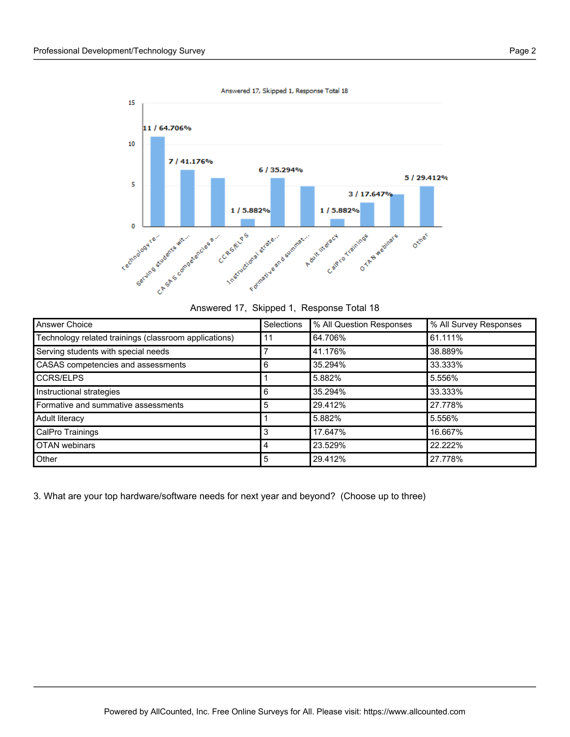

Answered 17, Skipped 1, Response Total 18

| Answered 17, Skipped 1, Response Total 18 |  |  |  |  |
|-------------------------------------------|--|--|--|--|
|-------------------------------------------|--|--|--|--|

| Answer Choice                                         | Selections | % All Question Responses | % All Survey Responses |
|-------------------------------------------------------|------------|--------------------------|------------------------|
| Technology related trainings (classroom applications) | 11         | 64.706%                  | 61.111%                |
| Serving students with special needs                   |            | 41.176%                  | 38.889%                |
| CASAS competencies and assessments                    | 6          | 35.294%                  | 33.333%                |
| <b>CCRS/ELPS</b>                                      |            | 5.882%                   | 5.556%                 |
| Instructional strategies                              | 6          | 35.294%                  | 33.333%                |
| Formative and summative assessments                   | 5          | 29.412%                  | 27.778%                |
| Adult literacy                                        |            | 5.882%                   | 5.556%                 |
| CalPro Trainings                                      | 3          | 17.647%                  | 16.667%                |
| <b>OTAN</b> webinars                                  | 4          | 23.529%                  | 22.222%                |
| Other                                                 | 5          | 29.412%                  | 27.778%                |

3. What are your top hardware/software needs for next year and beyond? (Choose up to three)